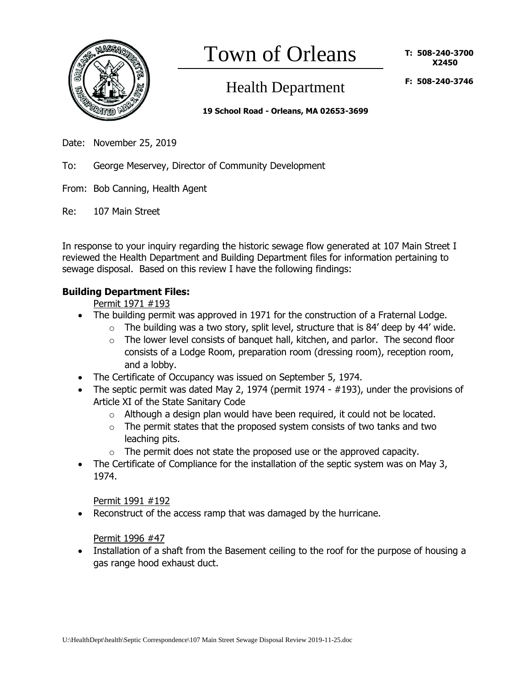

# Town of Orleans

# Health Department

**F: 508-240-3746**

**19 School Road - Orleans, MA 02653-3699**

- Date: November 25, 2019
- To: George Meservey, Director of Community Development
- From: Bob Canning, Health Agent
- Re: 107 Main Street

In response to your inquiry regarding the historic sewage flow generated at 107 Main Street I reviewed the Health Department and Building Department files for information pertaining to sewage disposal. Based on this review I have the following findings:

## **Building Department Files:**

## Permit 1971 #193

- The building permit was approved in 1971 for the construction of a Fraternal Lodge.
	- $\circ$  The building was a two story, split level, structure that is 84' deep by 44' wide.
	- o The lower level consists of banquet hall, kitchen, and parlor. The second floor consists of a Lodge Room, preparation room (dressing room), reception room, and a lobby.
- The Certificate of Occupancy was issued on September 5, 1974.
- The septic permit was dated May 2, 1974 (permit 1974 #193), under the provisions of Article XI of the State Sanitary Code
	- $\circ$  Although a design plan would have been required, it could not be located.
	- $\circ$  The permit states that the proposed system consists of two tanks and two leaching pits.
	- $\circ$  The permit does not state the proposed use or the approved capacity.
- The Certificate of Compliance for the installation of the septic system was on May 3, 1974.

#### Permit 1991 #192

Reconstruct of the access ramp that was damaged by the hurricane.

Permit 1996 #47

• Installation of a shaft from the Basement ceiling to the roof for the purpose of housing a gas range hood exhaust duct.